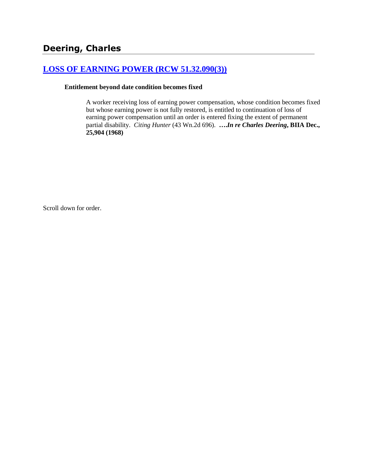# **[LOSS OF EARNING POWER \(RCW 51.32.090\(3\)\)](http://www.biia.wa.gov/SDSubjectIndex.html#LOSS_OF_EARNING_POWER)**

#### **Entitlement beyond date condition becomes fixed**

A worker receiving loss of earning power compensation, whose condition becomes fixed but whose earning power is not fully restored, is entitled to continuation of loss of earning power compensation until an order is entered fixing the extent of permanent partial disability. *Citing Hunter* (43 Wn.2d 696). **….***In re Charles Deering***, BIIA Dec., 25,904 (1968)** 

Scroll down for order.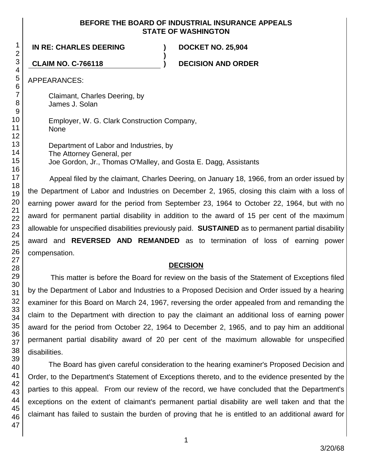#### **BEFORE THE BOARD OF INDUSTRIAL INSURANCE APPEALS STATE OF WASHINGTON**

**)**

### **IN RE: CHARLES DEERING ) DOCKET NO. 25,904**

**CLAIM NO. C-766118 ) DECISION AND ORDER**

APPEARANCES:

Claimant, Charles Deering, by James J. Solan

Employer, W. G. Clark Construction Company, None

Department of Labor and Industries, by The Attorney General, per Joe Gordon, Jr., Thomas O'Malley, and Gosta E. Dagg, Assistants

Appeal filed by the claimant, Charles Deering, on January 18, 1966, from an order issued by the Department of Labor and Industries on December 2, 1965, closing this claim with a loss of earning power award for the period from September 23, 1964 to October 22, 1964, but with no award for permanent partial disability in addition to the award of 15 per cent of the maximum allowable for unspecified disabilities previously paid. **SUSTAINED** as to permanent partial disability award and **REVERSED AND REMANDED** as to termination of loss of earning power compensation.

### **DECISION**

This matter is before the Board for review on the basis of the Statement of Exceptions filed by the Department of Labor and Industries to a Proposed Decision and Order issued by a hearing examiner for this Board on March 24, 1967, reversing the order appealed from and remanding the claim to the Department with direction to pay the claimant an additional loss of earning power award for the period from October 22, 1964 to December 2, 1965, and to pay him an additional permanent partial disability award of 20 per cent of the maximum allowable for unspecified disabilities.

The Board has given careful consideration to the hearing examiner's Proposed Decision and Order, to the Department's Statement of Exceptions thereto, and to the evidence presented by the parties to this appeal. From our review of the record, we have concluded that the Department's exceptions on the extent of claimant's permanent partial disability are well taken and that the claimant has failed to sustain the burden of proving that he is entitled to an additional award for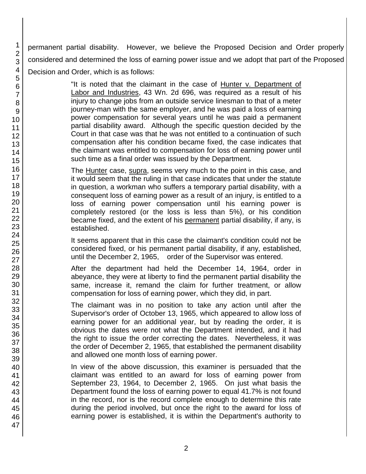permanent partial disability. However, we believe the Proposed Decision and Order properly considered and determined the loss of earning power issue and we adopt that part of the Proposed Decision and Order, which is as follows:

> "It is noted that the claimant in the case of Hunter v. Department of Labor and Industries, 43 Wn. 2d 696, was required as a result of his injury to change jobs from an outside service linesman to that of a meter journey-man with the same employer, and he was paid a loss of earning power compensation for several years until he was paid a permanent partial disability award. Although the specific question decided by the Court in that case was that he was not entitled to a continuation of such compensation after his condition became fixed, the case indicates that the claimant was entitled to compensation for loss of earning power until such time as a final order was issued by the Department.

> The Hunter case, supra, seems very much to the point in this case, and it would seem that the ruling in that case indicates that under the statute in question, a workman who suffers a temporary partial disability, with a consequent loss of earning power as a result of an injury, is entitled to a loss of earning power compensation until his earning power is completely restored (or the loss is less than 5%), or his condition became fixed, and the extent of his permanent partial disability, if any, is established.

> It seems apparent that in this case the claimant's condition could not be considered fixed, or his permanent partial disability, if any, established, until the December 2, 1965, order of the Supervisor was entered.

> After the department had held the December 14, 1964, order in abeyance, they were at liberty to find the permanent partial disability the same, increase it, remand the claim for further treatment, or allow compensation for loss of earning power, which they did, in part.

> The claimant was in no position to take any action until after the Supervisor's order of October 13, 1965, which appeared to allow loss of earning power for an additional year, but by reading the order, it is obvious the dates were not what the Department intended, and it had the right to issue the order correcting the dates. Nevertheless, it was the order of December 2, 1965, that established the permanent disability and allowed one month loss of earning power.

> In view of the above discussion, this examiner is persuaded that the claimant was entitled to an award for loss of earning power from September 23, 1964, to December 2, 1965. On just what basis the Department found the loss of earning power to equal 41.7% is not found in the record, nor is the record complete enough to determine this rate during the period involved, but once the right to the award for loss of earning power is established, it is within the Department's authority to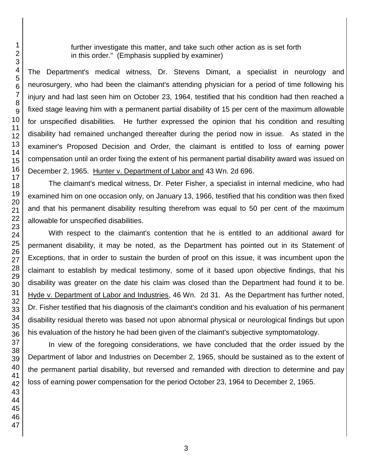further investigate this matter, and take such other action as is set forth in this order." (Emphasis supplied by examiner)

The Department's medical witness, Dr. Stevens Dimant, a specialist in neurology and neurosurgery, who had been the claimant's attending physician for a period of time following his injury and had last seen him on October 23, 1964, testified that his condition had then reached a fixed stage leaving him with a permanent partial disability of 15 per cent of the maximum allowable for unspecified disabilities. He further expressed the opinion that his condition and resulting disability had remained unchanged thereafter during the period now in issue. As stated in the examiner's Proposed Decision and Order, the claimant is entitled to loss of earning power compensation until an order fixing the extent of his permanent partial disability award was issued on December 2, 1965. Hunter v. Department of Labor and 43 Wn. 2d 696.

The claimant's medical witness, Dr. Peter Fisher, a specialist in internal medicine, who had examined him on one occasion only, on January 13, 1966, testified that his condition was then fixed and that his permanent disability resulting therefrom was equal to 50 per cent of the maximum allowable for unspecified disabilities.

With respect to the claimant's contention that he is entitled to an additional award for permanent disability, it may be noted, as the Department has pointed out in its Statement of Exceptions, that in order to sustain the burden of proof on this issue, it was incumbent upon the claimant to establish by medical testimony, some of it based upon objective findings, that his disability was greater on the date his claim was closed than the Department had found it to be. Hyde v. Department of Labor and Industries, 46 Wn. 2d 31. As the Department has further noted, Dr. Fisher testified that his diagnosis of the claimant's condition and his evaluation of his permanent disability residual thereto was based not upon abnormal physical or neurological findings but upon his evaluation of the history he had been given of the claimant's subjective symptomatology.

In view of the foregoing considerations, we have concluded that the order issued by the Department of labor and Industries on December 2, 1965, should be sustained as to the extent of the permanent partial disability, but reversed and remanded with direction to determine and pay loss of earning power compensation for the period October 23, 1964 to December 2, 1965.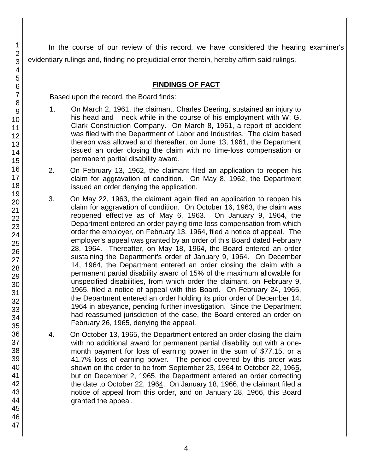In the course of our review of this record, we have considered the hearing examiner's evidentiary rulings and, finding no prejudicial error therein, hereby affirm said rulings.

## **FINDINGS OF FACT**

Based upon the record, the Board finds:

- 1. On March 2, 1961, the claimant, Charles Deering, sustained an injury to his head and neck while in the course of his employment with W. G. Clark Construction Company. On March 8, 1961, a report of accident was filed with the Department of Labor and Industries. The claim based thereon was allowed and thereafter, on June 13, 1961, the Department issued an order closing the claim with no time-loss compensation or permanent partial disability award.
- 2. On February 13, 1962, the claimant filed an application to reopen his claim for aggravation of condition. On May 8, 1962, the Department issued an order denying the application.
- 3. On May 22, 1963, the claimant again filed an application to reopen his claim for aggravation of condition. On October 16, 1963, the claim was reopened effective as of May 6, 1963. On January 9, 1964, the Department entered an order paying time-loss compensation from which order the employer, on February 13, 1964, filed a notice of appeal. The employer's appeal was granted by an order of this Board dated February 28, 1964. Thereafter, on May 18, 1964, the Board entered an order sustaining the Department's order of January 9, 1964. On December 14, 1964, the Department entered an order closing the claim with a permanent partial disability award of 15% of the maximum allowable for unspecified disabilities, from which order the claimant, on February 9, 1965, filed a notice of appeal with this Board. On February 24, 1965, the Department entered an order holding its prior order of December 14, 1964 in abeyance, pending further investigation. Since the Department had reassumed jurisdiction of the case, the Board entered an order on February 26, 1965, denying the appeal.
- 4. On October 13, 1965, the Department entered an order closing the claim with no additional award for permanent partial disability but with a onemonth payment for loss of earning power in the sum of \$77.15, or a 41.7% loss of earning power. The period covered by this order was shown on the order to be from September 23, 1964 to October 22, 1965, but on December 2, 1965, the Department entered an order correcting the date to October 22, 1964. On January 18, 1966, the claimant filed a notice of appeal from this order, and on January 28, 1966, this Board granted the appeal.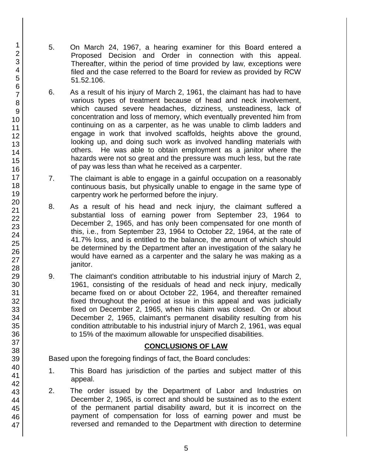- 5. On March 24, 1967, a hearing examiner for this Board entered a Proposed Decision and Order in connection with this appeal. Thereafter, within the period of time provided by law, exceptions were filed and the case referred to the Board for review as provided by RCW 51.52.106.
- 6. As a result of his injury of March 2, 1961, the claimant has had to have various types of treatment because of head and neck involvement, which caused severe headaches, dizziness, unsteadiness, lack of concentration and loss of memory, which eventually prevented him from continuing on as a carpenter, as he was unable to climb ladders and engage in work that involved scaffolds, heights above the ground, looking up, and doing such work as involved handling materials with others. He was able to obtain employment as a janitor where the hazards were not so great and the pressure was much less, but the rate of pay was less than what he received as a carpenter.
- 7. The claimant is able to engage in a gainful occupation on a reasonably continuous basis, but physically unable to engage in the same type of carpentry work he performed before the injury.
- 8. As a result of his head and neck injury, the claimant suffered a substantial loss of earning power from September 23, 1964 to December 2, 1965, and has only been compensated for one month of this, i.e., from September 23, 1964 to October 22, 1964, at the rate of 41.7% loss, and is entitled to the balance, the amount of which should be determined by the Department after an investigation of the salary he would have earned as a carpenter and the salary he was making as a janitor.
- 9. The claimant's condition attributable to his industrial injury of March 2, 1961, consisting of the residuals of head and neck injury, medically became fixed on or about October 22, 1964, and thereafter remained fixed throughout the period at issue in this appeal and was judicially fixed on December 2, 1965, when his claim was closed. On or about December 2, 1965, claimant's permanent disability resulting from his condition attributable to his industrial injury of March 2, 1961, was equal to 15% of the maximum allowable for unspecified disabilities.

### **CONCLUSIONS OF LAW**

Based upon the foregoing findings of fact, the Board concludes:

- 1. This Board has jurisdiction of the parties and subject matter of this appeal.
- 2. The order issued by the Department of Labor and Industries on December 2, 1965, is correct and should be sustained as to the extent of the permanent partial disability award, but it is incorrect on the payment of compensation for loss of earning power and must be reversed and remanded to the Department with direction to determine